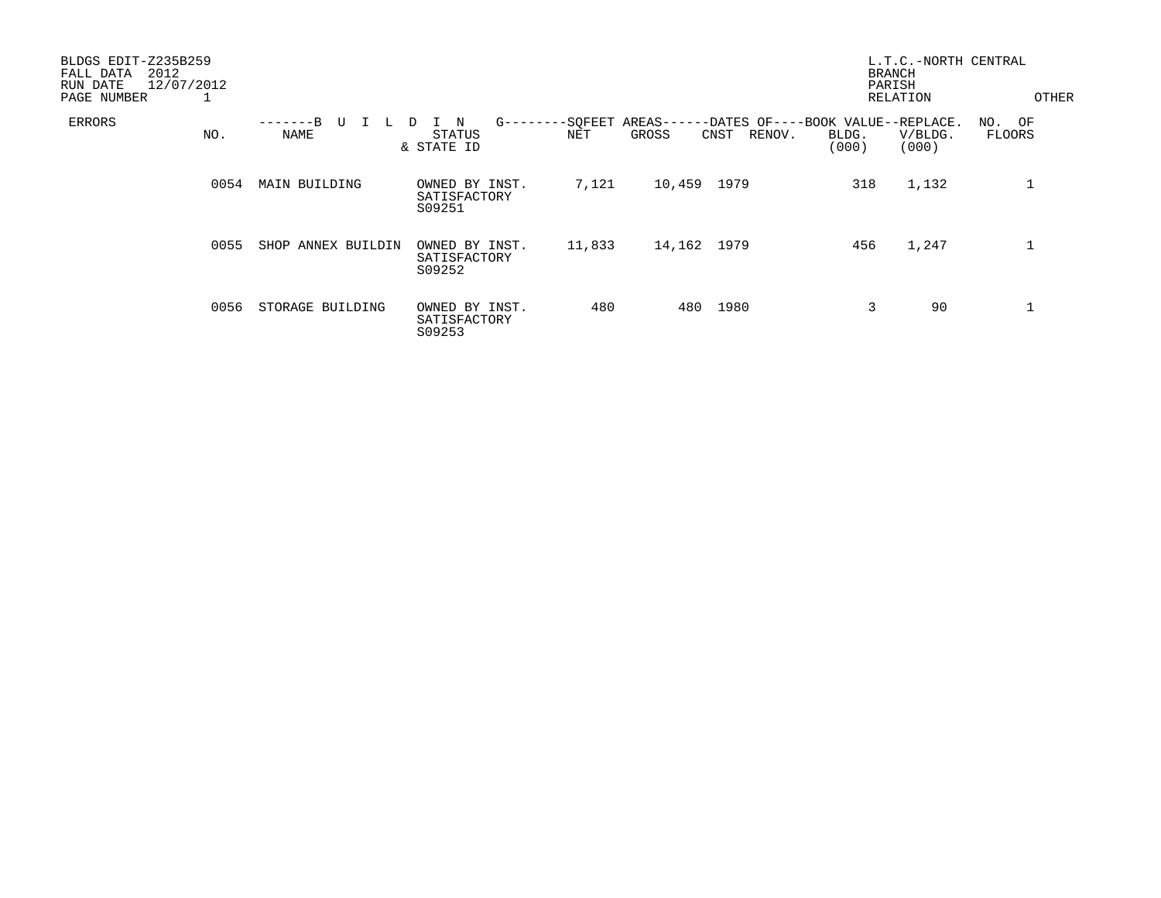| BLDGS EDIT-Z235B259<br>2012<br>FALL DATA<br>12/07/2012<br>RUN DATE<br>PAGE NUMBER<br>┸ |      |                             |                                          |            |                 |             |                                                               |                | L.T.C.-NORTH CENTRAL<br><b>BRANCH</b><br>PARISH<br>RELATION |                         | OTHER |
|----------------------------------------------------------------------------------------|------|-----------------------------|------------------------------------------|------------|-----------------|-------------|---------------------------------------------------------------|----------------|-------------------------------------------------------------|-------------------------|-------|
| ERRORS<br>NO.                                                                          |      | -------B<br>U<br>L.<br>NAME | N<br>D<br>STATUS<br>& STATE ID           | $G$ ------ | --SQFEET<br>NET | GROSS       | AREAS------DATES OF----BOOK VALUE--REPLACE.<br>RENOV.<br>CNST | BLDG.<br>(000) | V/BLDG.<br>(000)                                            | NO. OF<br><b>FLOORS</b> |       |
|                                                                                        | 0054 | MAIN BUILDING               | OWNED BY INST.<br>SATISFACTORY<br>S09251 |            | 7,121           | 10,459      | 1979                                                          | 318            | 1,132                                                       |                         |       |
|                                                                                        | 0055 | SHOP ANNEX BUILDIN          | OWNED BY INST.<br>SATISFACTORY<br>S09252 |            | 11,833          | 14,162 1979 |                                                               | 456            | 1,247                                                       |                         |       |
|                                                                                        | 0056 | STORAGE BUILDING            | OWNED BY INST.<br>SATISFACTORY<br>S09253 |            | 480             | 480         | 1980                                                          | 3              | 90                                                          |                         |       |